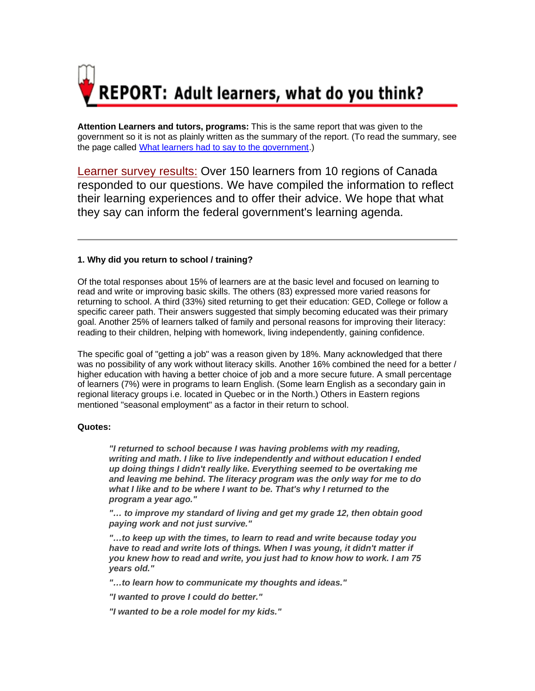

**Attention Learners and tutors, programs:** This is the same report that was given to the government so it is not as plainly written as the summary of the report. (To read the summary, see the page called What learners had to say to the government.)

Learner survey results: Over 150 learners from 10 regions of Canada responded to our questions. We have compiled the information to reflect their learning experiences and to offer their advice. We hope that what they say can inform the federal government's learning agenda.

# **1. Why did you return to school / training?**

Of the total responses about 15% of learners are at the basic level and focused on learning to read and write or improving basic skills. The others (83) expressed more varied reasons for returning to school. A third (33%) sited returning to get their education: GED, College or follow a specific career path. Their answers suggested that simply becoming educated was their primary goal. Another 25% of learners talked of family and personal reasons for improving their literacy: reading to their children, helping with homework, living independently, gaining confidence.

The specific goal of "getting a job" was a reason given by 18%. Many acknowledged that there was no possibility of any work without literacy skills. Another 16% combined the need for a better / higher education with having a better choice of job and a more secure future. A small percentage of learners (7%) were in programs to learn English. (Some learn English as a secondary gain in regional literacy groups i.e. located in Quebec or in the North.) Others in Eastern regions mentioned "seasonal employment" as a factor in their return to school.

## **Quotes:**

*"I returned to school because I was having problems with my reading, writing and math. I like to live independently and without education I ended up doing things I didn't really like. Everything seemed to be overtaking me and leaving me behind. The literacy program was the only way for me to do what I like and to be where I want to be. That's why I returned to the program a year ago."*

*"… to improve my standard of living and get my grade 12, then obtain good paying work and not just survive."*

*"…to keep up with the times, to learn to read and write because today you have to read and write lots of things. When I was young, it didn't matter if you knew how to read and write, you just had to know how to work. I am 75 years old."*

*"…to learn how to communicate my thoughts and ideas."*

*"I wanted to prove I could do better."* 

*"I wanted to be a role model for my kids."*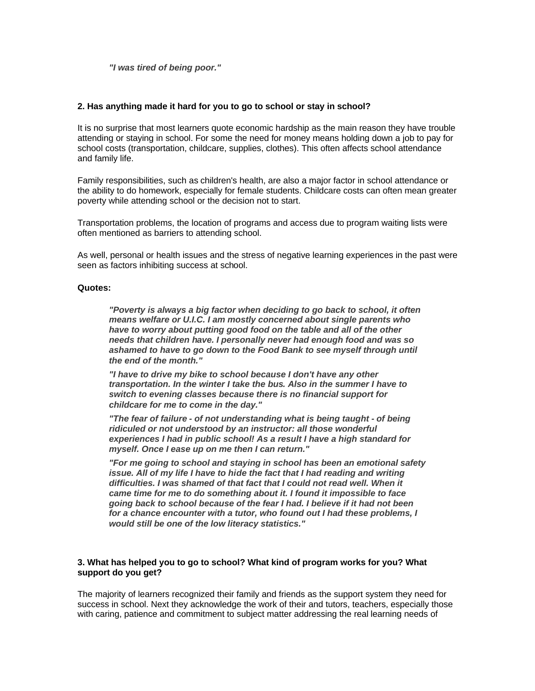*"I was tired of being poor."*

## **2. Has anything made it hard for you to go to school or stay in school?**

It is no surprise that most learners quote economic hardship as the main reason they have trouble attending or staying in school. For some the need for money means holding down a job to pay for school costs (transportation, childcare, supplies, clothes). This often affects school attendance and family life.

Family responsibilities, such as children's health, are also a major factor in school attendance or the ability to do homework, especially for female students. Childcare costs can often mean greater poverty while attending school or the decision not to start.

Transportation problems, the location of programs and access due to program waiting lists were often mentioned as barriers to attending school.

As well, personal or health issues and the stress of negative learning experiences in the past were seen as factors inhibiting success at school.

## **Quotes:**

*"Poverty is always a big factor when deciding to go back to school, it often means welfare or U.I.C. I am mostly concerned about single parents who have to worry about putting good food on the table and all of the other needs that children have. I personally never had enough food and was so ashamed to have to go down to the Food Bank to see myself through until the end of the month."*

*"I have to drive my bike to school because I don't have any other transportation. In the winter I take the bus. Also in the summer I have to switch to evening classes because there is no financial support for childcare for me to come in the day."*

*"The fear of failure - of not understanding what is being taught - of being ridiculed or not understood by an instructor: all those wonderful experiences I had in public school! As a result I have a high standard for myself. Once I ease up on me then I can return."*

*"For me going to school and staying in school has been an emotional safety issue. All of my life I have to hide the fact that I had reading and writing difficulties. I was shamed of that fact that I could not read well. When it came time for me to do something about it. I found it impossible to face going back to school because of the fear I had. I believe if it had not been for a chance encounter with a tutor, who found out I had these problems, I would still be one of the low literacy statistics."*

## **3. What has helped you to go to school? What kind of program works for you? What support do you get?**

The majority of learners recognized their family and friends as the support system they need for success in school. Next they acknowledge the work of their and tutors, teachers, especially those with caring, patience and commitment to subject matter addressing the real learning needs of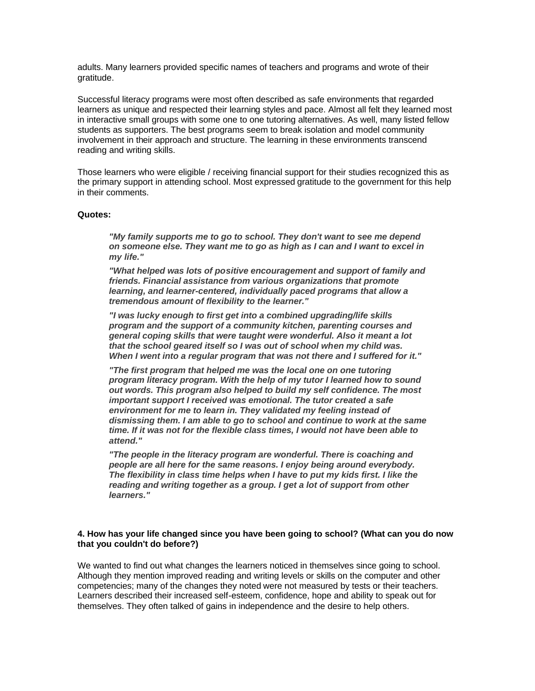adults. Many learners provided specific names of teachers and programs and wrote of their gratitude.

Successful literacy programs were most often described as safe environments that regarded learners as unique and respected their learning styles and pace. Almost all felt they learned most in interactive small groups with some one to one tutoring alternatives. As well, many listed fellow students as supporters. The best programs seem to break isolation and model community involvement in their approach and structure. The learning in these environments transcend reading and writing skills.

Those learners who were eligible / receiving financial support for their studies recognized this as the primary support in attending school. Most expressed gratitude to the government for this help in their comments.

### **Quotes:**

*"My family supports me to go to school. They don't want to see me depend on someone else. They want me to go as high as I can and I want to excel in my life."*

*"What helped was lots of positive encouragement and support of family and friends. Financial assistance from various organizations that promote learning, and learner-centered, individually paced programs that allow a tremendous amount of flexibility to the learner."* 

*"I was lucky enough to first get into a combined upgrading/life skills program and the support of a community kitchen, parenting courses and general coping skills that were taught were wonderful. Also it meant a lot that the school geared itself so I was out of school when my child was. When I went into a regular program that was not there and I suffered for it."*

*"The first program that helped me was the local one on one tutoring program literacy program. With the help of my tutor I learned how to sound out words. This program also helped to build my self confidence. The most important support I received was emotional. The tutor created a safe environment for me to learn in. They validated my feeling instead of dismissing them. I am able to go to school and continue to work at the same time. If it was not for the flexible class times, I would not have been able to attend."*

*"The people in the literacy program are wonderful. There is coaching and people are all here for the same reasons. I enjoy being around everybody. The flexibility in class time helps when I have to put my kids first. I like the reading and writing together as a group. I get a lot of support from other learners."*

## **4. How has your life changed since you have been going to school? (What can you do now that you couldn't do before?)**

We wanted to find out what changes the learners noticed in themselves since going to school. Although they mention improved reading and writing levels or skills on the computer and other competencies; many of the changes they noted were not measured by tests or their teachers. Learners described their increased self-esteem, confidence, hope and ability to speak out for themselves. They often talked of gains in independence and the desire to help others.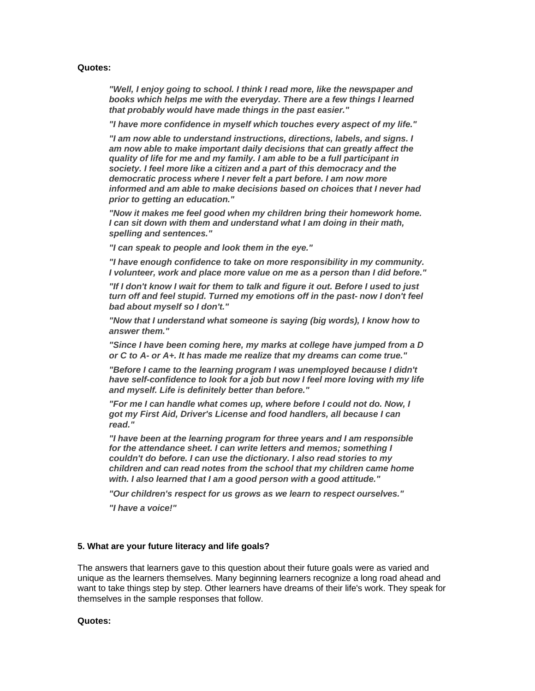### **Quotes:**

*"Well, I enjoy going to school. I think I read more, like the newspaper and books which helps me with the everyday. There are a few things I learned that probably would have made things in the past easier."*

*"I have more confidence in myself which touches every aspect of my life."*

*"I am now able to understand instructions, directions, labels, and signs. I am now able to make important daily decisions that can greatly affect the quality of life for me and my family. I am able to be a full participant in society. I feel more like a citizen and a part of this democracy and the democratic process where I never felt a part before. I am now more informed and am able to make decisions based on choices that I never had prior to getting an education."*

*"Now it makes me feel good when my children bring their homework home. I can sit down with them and understand what I am doing in their math, spelling and sentences."* 

*"I can speak to people and look them in the eye."*

*"I have enough confidence to take on more responsibility in my community. I volunteer, work and place more value on me as a person than I did before."*

*"If I don't know I wait for them to talk and figure it out. Before I used to just turn off and feel stupid. Turned my emotions off in the past- now I don't feel bad about myself so I don't."*

*"Now that I understand what someone is saying (big words), I know how to answer them."* 

*"Since I have been coming here, my marks at college have jumped from a D or C to A- or A+. It has made me realize that my dreams can come true."*

*"Before I came to the learning program I was unemployed because I didn't have self-confidence to look for a job but now I feel more loving with my life and myself. Life is definitely better than before."*

*"For me I can handle what comes up, where before I could not do. Now, I got my First Aid, Driver's License and food handlers, all because I can read."*

*"I have been at the learning program for three years and I am responsible for the attendance sheet. I can write letters and memos; something I couldn't do before. I can use the dictionary. I also read stories to my children and can read notes from the school that my children came home with. I also learned that I am a good person with a good attitude."*

*"Our children's respect for us grows as we learn to respect ourselves."*

*"I have a voice!"*

# **5. What are your future literacy and life goals?**

The answers that learners gave to this question about their future goals were as varied and unique as the learners themselves. Many beginning learners recognize a long road ahead and want to take things step by step. Other learners have dreams of their life's work. They speak for themselves in the sample responses that follow.

### **Quotes:**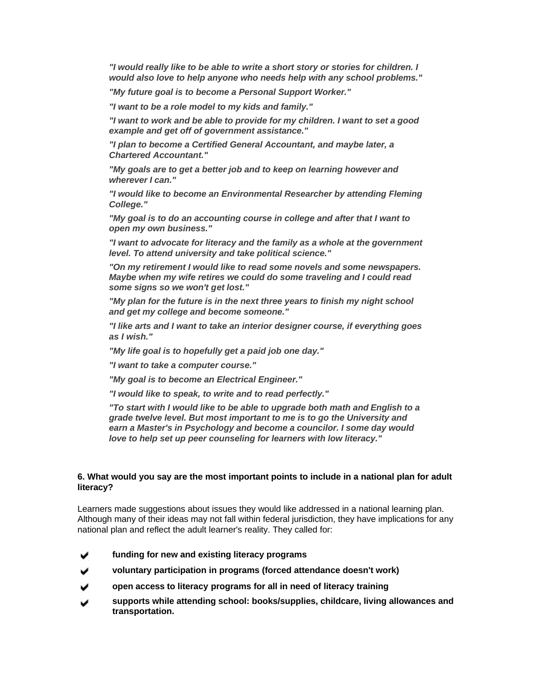*"I would really like to be able to write a short story or stories for children. I would also love to help anyone who needs help with any school problems."*

*"My future goal is to become a Personal Support Worker."*

*"I want to be a role model to my kids and family."*

*"I want to work and be able to provide for my children. I want to set a good example and get off of government assistance."*

*"I plan to become a Certified General Accountant, and maybe later, a Chartered Accountant."*

*"My goals are to get a better job and to keep on learning however and wherever I can."*

*"I would like to become an Environmental Researcher by attending Fleming College."* 

*"My goal is to do an accounting course in college and after that I want to open my own business."*

*"I want to advocate for literacy and the family as a whole at the government level. To attend university and take political science."*

*"On my retirement I would like to read some novels and some newspapers. Maybe when my wife retires we could do some traveling and I could read some signs so we won't get lost."*

*"My plan for the future is in the next three years to finish my night school and get my college and become someone."*

*"I like arts and I want to take an interior designer course, if everything goes as I wish."*

*"My life goal is to hopefully get a paid job one day."*

*"I want to take a computer course."*

*"My goal is to become an Electrical Engineer."*

*"I would like to speak, to write and to read perfectly."* 

*"To start with I would like to be able to upgrade both math and English to a grade twelve level. But most important to me is to go the University and earn a Master's in Psychology and become a councilor. I some day would love to help set up peer counseling for learners with low literacy."*

## **6. What would you say are the most important points to include in a national plan for adult literacy?**

Learners made suggestions about issues they would like addressed in a national learning plan. Although many of their ideas may not fall within federal jurisdiction, they have implications for any national plan and reflect the adult learner's reality. They called for:

- **funding for new and existing literacy programs**
- **voluntary participation in programs (forced attendance doesn't work)**
- **open access to literacy programs for all in need of literacy training**
- **supports while attending school: books/supplies, childcare, living allowances and transportation.**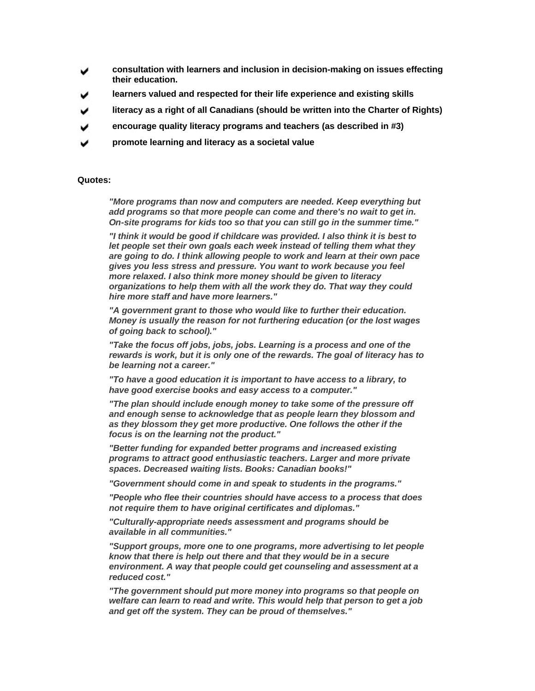- **consultation with learners and inclusion in decision-making on issues effecting their education.**
- **learners valued and respected for their life experience and existing skills**
- **literacy as a right of all Canadians (should be written into the Charter of Rights)**
- **encourage quality literacy programs and teachers (as described in #3)**
- **promote learning and literacy as a societal value**

### **Quotes:**

*"More programs than now and computers are needed. Keep everything but add programs so that more people can come and there's no wait to get in. On-site programs for kids too so that you can still go in the summer time."*

*"I think it would be good if childcare was provided. I also think it is best to let people set their own goals each week instead of telling them what they are going to do. I think allowing people to work and learn at their own pace gives you less stress and pressure. You want to work because you feel more relaxed. I also think more money should be given to literacy organizations to help them with all the work they do. That way they could hire more staff and have more learners."*

*"A government grant to those who would like to further their education. Money is usually the reason for not furthering education (or the lost wages of going back to school)."*

*"Take the focus off jobs, jobs, jobs. Learning is a process and one of the rewards is work, but it is only one of the rewards. The goal of literacy has to be learning not a career."*

*"To have a good education it is important to have access to a library, to have good exercise books and easy access to a computer."*

*"The plan should include enough money to take some of the pressure off and enough sense to acknowledge that as people learn they blossom and as they blossom they get more productive. One follows the other if the focus is on the learning not the product."*

*"Better funding for expanded better programs and increased existing programs to attract good enthusiastic teachers. Larger and more private spaces. Decreased waiting lists. Books: Canadian books!"*

*"Government should come in and speak to students in the programs."* 

*"People who flee their countries should have access to a process that does not require them to have original certificates and diplomas."*

*"Culturally-appropriate needs assessment and programs should be available in all communities."*

*"Support groups, more one to one programs, more advertising to let people know that there is help out there and that they would be in a secure environment. A way that people could get counseling and assessment at a reduced cost."*

*"The government should put more money into programs so that people on welfare can learn to read and write. This would help that person to get a job and get off the system. They can be proud of themselves."*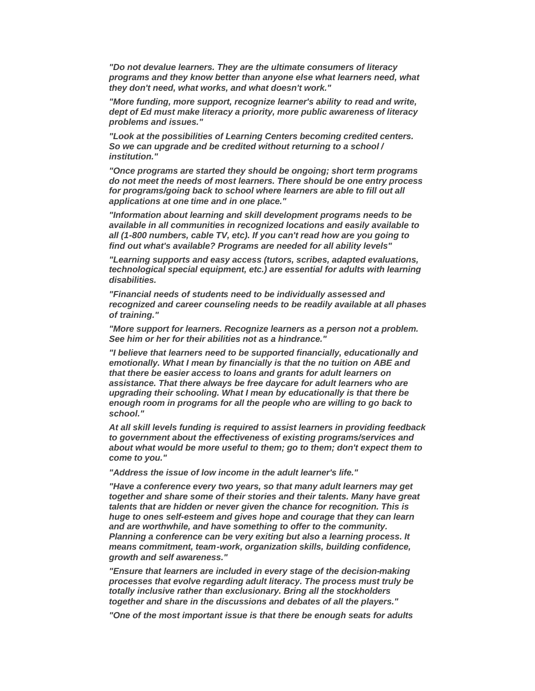*"Do not devalue learners. They are the ultimate consumers of literacy programs and they know better than anyone else what learners need, what they don't need, what works, and what doesn't work."*

*"More funding, more support, recognize learner's ability to read and write, dept of Ed must make literacy a priority, more public awareness of literacy problems and issues."* 

*"Look at the possibilities of Learning Centers becoming credited centers. So we can upgrade and be credited without returning to a school / institution."*

*"Once programs are started they should be ongoing; short term programs do not meet the needs of most learners. There should be one entry process for programs/going back to school where learners are able to fill out all applications at one time and in one place."* 

*"Information about learning and skill development programs needs to be available in all communities in recognized locations and easily available to all (1-800 numbers, cable TV, etc). If you can't read how are you going to find out what's available? Programs are needed for all ability levels"*

*"Learning supports and easy access (tutors, scribes, adapted evaluations, technological special equipment, etc.) are essential for adults with learning disabilities.*

*"Financial needs of students need to be individually assessed and recognized and career counseling needs to be readily available at all phases of training."*

*"More support for learners. Recognize learners as a person not a problem. See him or her for their abilities not as a hindrance."*

*"I believe that learners need to be supported financially, educationally and emotionally. What I mean by financially is that the no tuition on ABE and that there be easier access to loans and grants for adult learners on assistance. That there always be free daycare for adult learners who are upgrading their schooling. What I mean by educationally is that there be enough room in programs for all the people who are willing to go back to school."*

*At all skill levels funding is required to assist learners in providing feedback to government about the effectiveness of existing programs/services and about what would be more useful to them; go to them; don't expect them to come to you."*

*"Address the issue of low income in the adult learner's life."*

*"Have a conference every two years, so that many adult learners may get together and share some of their stories and their talents. Many have great talents that are hidden or never given the chance for recognition. This is huge to ones self-esteem and gives hope and courage that they can learn and are worthwhile, and have something to offer to the community. Planning a conference can be very exiting but also a learning process. It means commitment, team-work, organization skills, building confidence, growth and self awareness."*

*"Ensure that learners are included in every stage of the decision-making processes that evolve regarding adult literacy. The process must truly be totally inclusive rather than exclusionary. Bring all the stockholders together and share in the discussions and debates of all the players."*

*"One of the most important issue is that there be enough seats for adults*